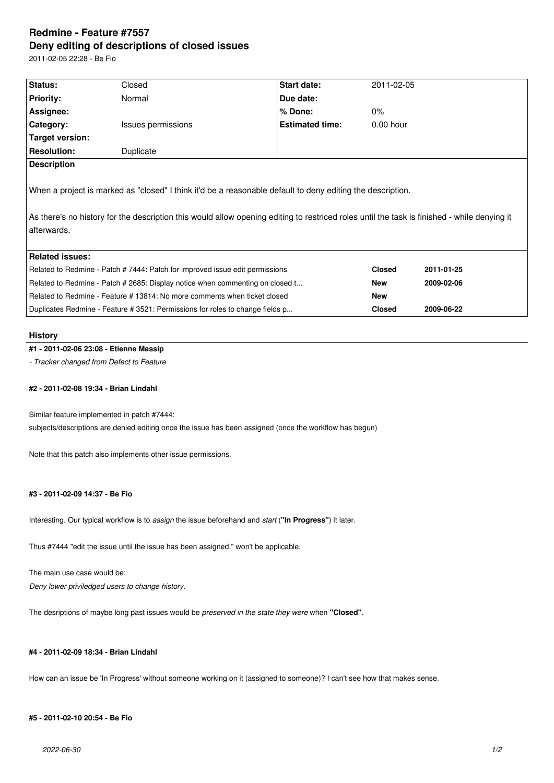# **Redmine - Feature #7557 Deny editing of descriptions of closed issues**

2011-02-05 22:28 - Ве Fio

| Status:                                                                                                                                                                                                                                                                  | Closed             | Start date:            | 2011-02-05    |            |
|--------------------------------------------------------------------------------------------------------------------------------------------------------------------------------------------------------------------------------------------------------------------------|--------------------|------------------------|---------------|------------|
| <b>Priority:</b>                                                                                                                                                                                                                                                         | Normal             | Due date:              |               |            |
| Assignee:                                                                                                                                                                                                                                                                |                    | $%$ Done:              | $0\%$         |            |
| Category:                                                                                                                                                                                                                                                                | Issues permissions | <b>Estimated time:</b> | $0.00$ hour   |            |
| Target version:                                                                                                                                                                                                                                                          |                    |                        |               |            |
| <b>Resolution:</b>                                                                                                                                                                                                                                                       | Duplicate          |                        |               |            |
| <b>Description</b>                                                                                                                                                                                                                                                       |                    |                        |               |            |
| When a project is marked as "closed" I think it'd be a reasonable default to deny editing the description.<br>As there's no history for the description this would allow opening editing to restriced roles until the task is finished - while denying it<br>afterwards. |                    |                        |               |            |
| <b>Related issues:</b>                                                                                                                                                                                                                                                   |                    |                        |               |            |
| Related to Redmine - Patch # 7444: Patch for improved issue edit permissions                                                                                                                                                                                             |                    |                        | <b>Closed</b> | 2011-01-25 |
| Related to Redmine - Patch # 2685: Display notice when commenting on closed t                                                                                                                                                                                            |                    |                        | <b>New</b>    | 2009-02-06 |
| Related to Redmine - Feature #13814: No more comments when ticket closed                                                                                                                                                                                                 |                    |                        | <b>New</b>    |            |
| Duplicates Redmine - Feature # 3521: Permissions for roles to change fields p                                                                                                                                                                                            |                    |                        | <b>Closed</b> | 2009-06-22 |

### **History**

## **#1 - 2011-02-06 23:08 - Etienne Massip**

*- Tracker changed from Defect to Feature*

### **#2 - 2011-02-08 19:34 - Brian Lindahl**

Similar feature implemented in patch #7444: subjects/descriptions are denied editing once the issue has been assigned (once the workflow has begun)

Note that this patch also implements other issue permissions.

## **#3 - 2011-02-09 14:37 - Ве Fio**

Interesting. Our typical workflow is to *assign* the issue beforehand and *start* (**"In Progress"**) it later.

Thus #7444 "edit the issue until the issue has been assigned." won't be applicable.

The main use case would be: *Deny lower priviledged users to change history.*

The desriptions of maybe long past issues would be *preserved in the state they were* when **"Closed"**.

#### **#4 - 2011-02-09 18:34 - Brian Lindahl**

How can an issue be 'In Progress' without someone working on it (assigned to someone)? I can't see how that makes sense.

## **#5 - 2011-02-10 20:54 - Ве Fio**